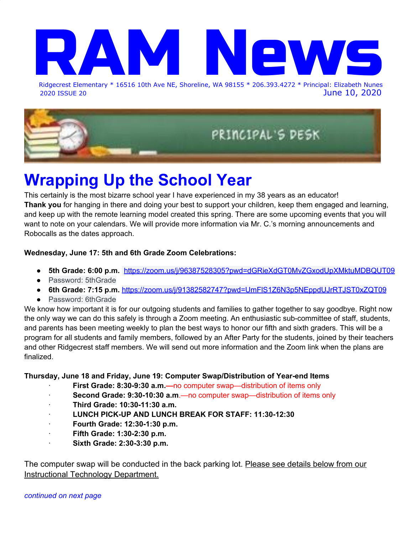# Ridgecrest Elemen Ridgecrest Elementary \* 16516 10th Ave NE, Shoreline, WA 98155 \* 206.393.4272 \* Principal: Elizabeth Nunes

2020 ISSUE 20 June 10, 2020



# **Wrapping Up the School Year**

This certainly is the most bizarre school year I have experienced in my 38 years as an educator! **Thank you** for hanging in there and doing your best to support your children, keep them engaged and learning, and keep up with the remote learning model created this spring. There are some upcoming events that you will want to note on your calendars. We will provide more information via Mr. C.'s morning announcements and Robocalls as the dates approach.

### **Wednesday, June 17: 5th and 6th Grade Zoom Celebrations:**

- **5th Grade: 6:00 p.m.** <https://zoom.us/j/96387528305?pwd=dGRieXdGT0MvZGxodUpXMktuMDBQUT09>
- Password: 5thGrade
- **6th Grade: 7:15 p.m.** <https://zoom.us/j/91382582747?pwd=UmFlS1Z6N3p5NEppdUJrRTJST0xZQT09>
- Password: 6thGrade

We know how important it is for our outgoing students and families to gather together to say goodbye. Right now the only way we can do this safely is through a Zoom meeting. An enthusiastic sub-committee of staff, students, and parents has been meeting weekly to plan the best ways to honor our fifth and sixth graders. This will be a program for all students and family members, followed by an After Party for the students, joined by their teachers and other Ridgecrest staff members. We will send out more information and the Zoom link when the plans are finalized.

#### **Thursday, June 18 and Friday, June 19: Computer Swap/Distribution of Year-end Items**

- · **First Grade: 8:30-9:30 a.m.—**no computer swap—distribution of items only
- · **Second Grade: 9:30-10:30 a.m**.—no computer swap—distribution of items only
- · **Third Grade: 10:30-11:30 a.m.**
- · **LUNCH PICK-UP AND LUNCH BREAK FOR STAFF: 11:30-12:30**
- · **Fourth Grade: 12:30-1:30 p.m.**
- · **Fifth Grade: 1:30-2:30 p.m.**
- · **Sixth Grade: 2:30-3:30 p.m.**

The computer swap will be conducted in the back parking lot. Please see details below from our Instructional Technology Department.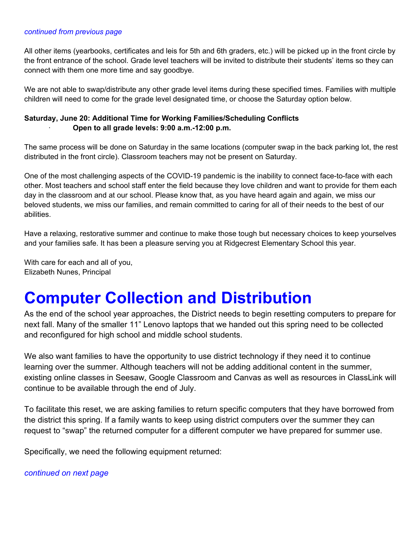#### *continued from previous page*

All other items (yearbooks, certificates and leis for 5th and 6th graders, etc.) will be picked up in the front circle by the front entrance of the school. Grade level teachers will be invited to distribute their students' items so they can connect with them one more time and say goodbye.

We are not able to swap/distribute any other grade level items during these specified times. Families with multiple children will need to come for the grade level designated time, or choose the Saturday option below.

#### **Saturday, June 20: Additional Time for Working Families/Scheduling Conflicts** · **Open to all grade levels: 9:00 a.m.-12:00 p.m.**

The same process will be done on Saturday in the same locations (computer swap in the back parking lot, the rest distributed in the front circle). Classroom teachers may not be present on Saturday.

One of the most challenging aspects of the COVID-19 pandemic is the inability to connect face-to-face with each other. Most teachers and school staff enter the field because they love children and want to provide for them each day in the classroom and at our school. Please know that, as you have heard again and again, we miss our beloved students, we miss our families, and remain committed to caring for all of their needs to the best of our abilities.

Have a relaxing, restorative summer and continue to make those tough but necessary choices to keep yourselves and your families safe. It has been a pleasure serving you at Ridgecrest Elementary School this year.

With care for each and all of you, Elizabeth Nunes, Principal

# **Computer Collection and Distribution**

As the end of the school year approaches, the District needs to begin resetting computers to prepare for next fall. Many of the smaller 11" Lenovo laptops that we handed out this spring need to be collected and reconfigured for high school and middle school students.

We also want families to have the opportunity to use district technology if they need it to continue learning over the summer. Although teachers will not be adding additional content in the summer, existing online classes in Seesaw, Google Classroom and Canvas as well as resources in ClassLink will continue to be available through the end of July.

To facilitate this reset, we are asking families to return specific computers that they have borrowed from the district this spring. If a family wants to keep using district computers over the summer they can request to "swap" the returned computer for a different computer we have prepared for summer use.

Specifically, we need the following equipment returned:

#### *continued on next page*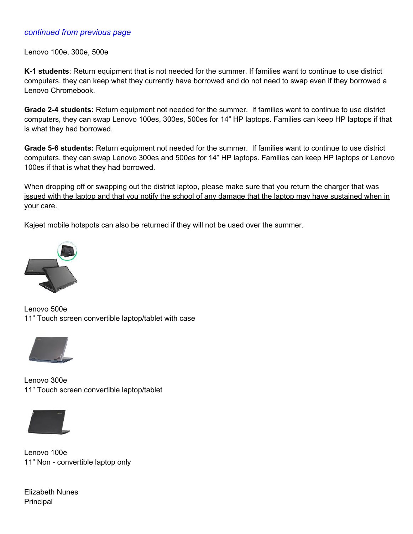#### *continued from previous page*

Lenovo 100e, 300e, 500e

**K-1 students**: Return equipment that is not needed for the summer. If families want to continue to use district computers, they can keep what they currently have borrowed and do not need to swap even if they borrowed a Lenovo Chromebook.

**Grade 2-4 students:** Return equipment not needed for the summer. If families want to continue to use district computers, they can swap Lenovo 100es, 300es, 500es for 14" HP laptops. Families can keep HP laptops if that is what they had borrowed.

**Grade 5-6 students:** Return equipment not needed for the summer. If families want to continue to use district computers, they can swap Lenovo 300es and 500es for 14" HP laptops. Families can keep HP laptops or Lenovo 100es if that is what they had borrowed.

When dropping off or swapping out the district laptop, please make sure that you return the charger that was issued with the laptop and that you notify the school of any damage that the laptop may have sustained when in your care.

Kajeet mobile hotspots can also be returned if they will not be used over the summer.



Lenovo 500e 11" Touch screen convertible laptop/tablet with case



Lenovo 300e 11" Touch screen convertible laptop/tablet



Lenovo 100e 11" Non - convertible laptop only

Elizabeth Nunes **Principal**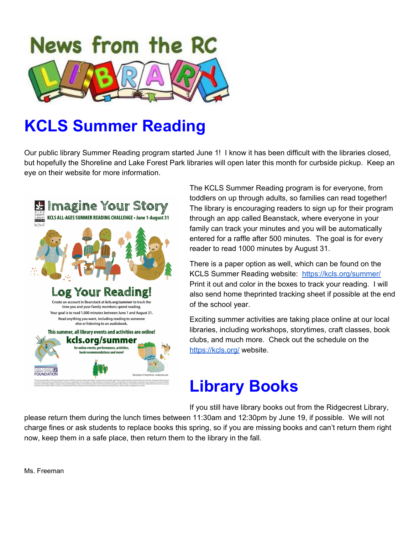

# **KCLS Summer Reading**

Our public library Summer Reading program started June 1! I know it has been difficult with the libraries closed, but hopefully the Shoreline and Lake Forest Park libraries will open later this month for curbside pickup. Keep an eye on their website for more information.



The KCLS Summer Reading program is for everyone, from toddlers on up through adults, so families can read together! The library is encouraging readers to sign up for their program through an app called Beanstack, where everyone in your family can track your minutes and you will be automatically entered for a raffle after 500 minutes. The goal is for every reader to read 1000 minutes by August 31.

There is a paper option as well, which can be found on the KCLS Summer Reading website: <https://kcls.org/summer/> Print it out and color in the boxes to track your reading. I will also send home theprinted tracking sheet if possible at the end of the school year.

Exciting summer activities are taking place online at our local libraries, including workshops, storytimes, craft classes, book clubs, and much more. Check out the schedule on the <https://kcls.org/> website.

# **Library Books**

If you still have library books out from the Ridgecrest Library,

please return them during the lunch times between 11:30am and 12:30pm by June 19, if possible. We will not charge fines or ask students to replace books this spring, so if you are missing books and can't return them right now, keep them in a safe place, then return them to the library in the fall.

Ms. Freeman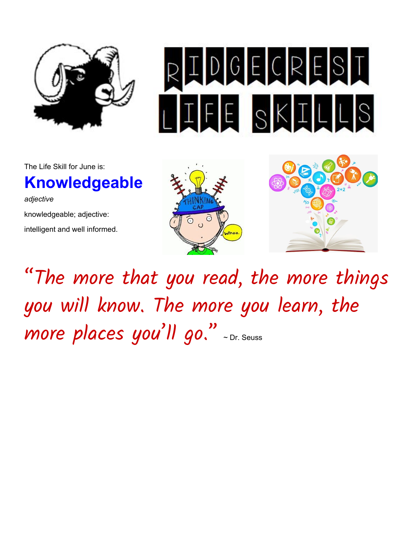

The Life Skill for June is:

# **Knowledgeable**

*adjective* knowledgeable; adjective: intelligent and well informed.







"The more that you read, the more things you will know. The more you learn, the more places you 'll go. " <sup>~</sup> Dr. Seuss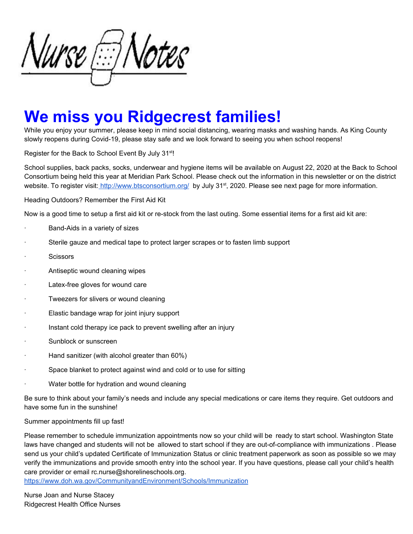\lurse @Notes

# **We miss you Ridgecrest families!**

While you enjoy your summer, please keep in mind social distancing, wearing masks and washing hands. As King County slowly reopens during Covid-19, please stay safe and we look forward to seeing you when school reopens!

Register for the Back to School Event By July 31<sup>st</sup>!

School supplies, back packs, socks, underwear and hygiene items will be available on August 22, 2020 at the Back to School Consortium being held this year at Meridian Park School. Please check out the information in this newsletter or on the district website. To register visit: <http://www.btsconsortium.org/> by July 31st, 2020. Please see next page for more information.

Heading Outdoors? Remember the First Aid Kit

Now is a good time to setup a first aid kit or re-stock from the last outing. Some essential items for a first aid kit are:

- Band-Aids in a variety of sizes
- · Sterile gauze and medical tape to protect larger scrapes or to fasten limb support
- **Scissors**
- Antiseptic wound cleaning wipes
- Latex-free gloves for wound care
- · Tweezers for slivers or wound cleaning
- Elastic bandage wrap for joint injury support
- Instant cold therapy ice pack to prevent swelling after an injury
- Sunblock or sunscreen
- Hand sanitizer (with alcohol greater than 60%)
- · Space blanket to protect against wind and cold or to use for sitting
- · Water bottle for hydration and wound cleaning

Be sure to think about your family's needs and include any special medications or care items they require. Get outdoors and have some fun in the sunshine!

Summer appointments fill up fast!

Please remember to schedule immunization appointments now so your child will be ready to start school. Washington State laws have changed and students will not be allowed to start school if they are out-of-compliance with immunizations . Please send us your child's updated Certificate of Immunization Status or clinic treatment paperwork as soon as possible so we may verify the immunizations and provide smooth entry into the school year. If you have questions, please call your child's health care provider or email rc.nurse@shorelineschools.org[.](https://www.doh.wa.gov/CommunityandEnvironment/Schools/Immunization)

<https://www.doh.wa.gov/CommunityandEnvironment/Schools/Immunization>

Nurse Joan and Nurse Stacey Ridgecrest Health Office Nurses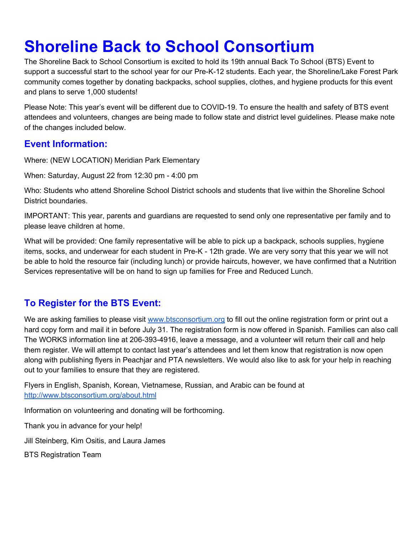# **Shoreline Back to School Consortium**

The Shoreline Back to School Consortium is excited to hold its 19th annual Back To School (BTS) Event to support a successful start to the school year for our Pre-K-12 students. Each year, the Shoreline/Lake Forest Park community comes together by donating backpacks, school supplies, clothes, and hygiene products for this event and plans to serve 1,000 students!

Please Note: This year's event will be different due to COVID-19. To ensure the health and safety of BTS event attendees and volunteers, changes are being made to follow state and district level guidelines. Please make note of the changes included below.

### **Event Information:**

Where: (NEW LOCATION) Meridian Park Elementary

When: Saturday, August 22 from 12:30 pm - 4:00 pm

Who: Students who attend Shoreline School District schools and students that live within the Shoreline School District boundaries.

IMPORTANT: This year, parents and guardians are requested to send only one representative per family and to please leave children at home.

What will be provided: One family representative will be able to pick up a backpack, schools supplies, hygiene items, socks, and underwear for each student in Pre-K - 12th grade. We are very sorry that this year we will not be able to hold the resource fair (including lunch) or provide haircuts, however, we have confirmed that a Nutrition Services representative will be on hand to sign up families for Free and Reduced Lunch.

## **To Register for the BTS Event:**

We are asking families to please visit [www.btsconsortium.org](http://www.btsconsortium.org/) to fill out the online registration form or print out a hard copy form and mail it in before July 31. The registration form is now offered in Spanish. Families can also call The WORKS information line at 206-393-4916, leave a message, and a volunteer will return their call and help them register. We will attempt to contact last year's attendees and let them know that registration is now open along with publishing flyers in Peachjar and PTA newsletters. We would also like to ask for your help in reaching out to your families to ensure that they are registered.

Flyers in English, Spanish, Korean, Vietnamese, Russian, and Arabic can be found at <http://www.btsconsortium.org/about.html>

Information on volunteering and donating will be forthcoming.

Thank you in advance for your help!

Jill Steinberg, Kim Ositis, and Laura James

BTS Registration Team